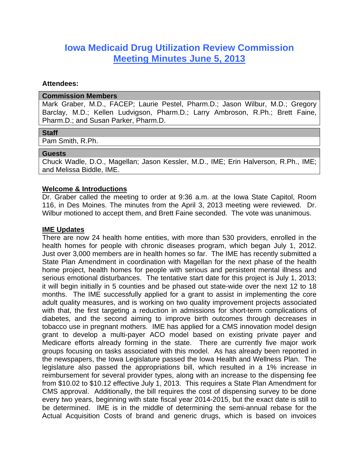# **Iowa Medicaid Drug Utilization Review Commission Meeting Minutes June 5, 2013**

#### **Attendees:**

#### **Commission Members**

Mark Graber, M.D., FACEP; Laurie Pestel, Pharm.D.; Jason Wilbur, M.D.; Gregory Barclay, M.D.; Kellen Ludvigson, Pharm.D.; Larry Ambroson, R.Ph.; Brett Faine, Pharm.D.; and Susan Parker, Pharm.D.

## **Staff**

Pam Smith, R.Ph.

#### **Guests**

Chuck Wadle, D.O., Magellan; Jason Kessler, M.D., IME; Erin Halverson, R.Ph., IME; and Melissa Biddle, IME.

#### **Welcome & Introductions**

Dr. Graber called the meeting to order at 9:36 a.m. at the Iowa State Capitol, Room 116, in Des Moines. The minutes from the April 3, 2013 meeting were reviewed. Dr. Wilbur motioned to accept them, and Brett Faine seconded. The vote was unanimous.

#### **IME Updates**

There are now 24 health home entities, with more than 530 providers, enrolled in the health homes for people with chronic diseases program, which began July 1, 2012. Just over 3,000 members are in health homes so far. The IME has recently submitted a State Plan Amendment in coordination with Magellan for the next phase of the health home project, health homes for people with serious and persistent mental illness and serious emotional disturbances. The tentative start date for this project is July 1, 2013; it will begin initially in 5 counties and be phased out state-wide over the next 12 to 18 months. The IME successfully applied for a grant to assist in implementing the core adult quality measures, and is working on two quality improvement projects associated with that, the first targeting a reduction in admissions for short-term complications of diabetes, and the second aiming to improve birth outcomes through decreases in tobacco use in pregnant mothers. IME has applied for a CMS innovation model design grant to develop a multi-payer ACO model based on existing private payer and Medicare efforts already forming in the state. There are currently five major work groups focusing on tasks associated with this model. As has already been reported in the newspapers, the Iowa Legislature passed the Iowa Health and Wellness Plan. The legislature also passed the appropriations bill, which resulted in a 1% increase in reimbursement for several provider types, along with an increase to the dispensing fee from \$10.02 to \$10.12 effective July 1, 2013. This requires a State Plan Amendment for CMS approval. Additionally, the bill requires the cost of dispensing survey to be done every two years, beginning with state fiscal year 2014-2015, but the exact date is still to be determined. IME is in the middle of determining the semi-annual rebase for the Actual Acquisition Costs of brand and generic drugs, which is based on invoices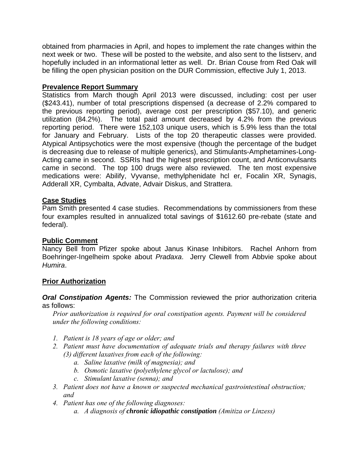obtained from pharmacies in April, and hopes to implement the rate changes within the next week or two. These will be posted to the website, and also sent to the listserv, and hopefully included in an informational letter as well. Dr. Brian Couse from Red Oak will be filling the open physician position on the DUR Commission, effective July 1, 2013.

# **Prevalence Report Summary**

Statistics from March though April 2013 were discussed, including: cost per user (\$243.41), number of total prescriptions dispensed (a decrease of 2.2% compared to the previous reporting period), average cost per prescription (\$57.10), and generic utilization (84.2%). The total paid amount decreased by 4.2% from the previous reporting period. There were 152,103 unique users, which is 5.9% less than the total for January and February. Lists of the top 20 therapeutic classes were provided. Atypical Antipsychotics were the most expensive (though the percentage of the budget is decreasing due to release of multiple generics), and Stimulants-Amphetamines-Long-Acting came in second. SSRIs had the highest prescription count, and Anticonvulsants came in second. The top 100 drugs were also reviewed. The ten most expensive medications were: Abilify, Vyvanse, methylphenidate hcl er, Focalin XR, Synagis, Adderall XR, Cymbalta, Advate, Advair Diskus, and Strattera.

# **Case Studies**

Pam Smith presented 4 case studies. Recommendations by commissioners from these four examples resulted in annualized total savings of \$1612.60 pre-rebate (state and federal).

## **Public Comment**

Nancy Bell from Pfizer spoke about Janus Kinase Inhibitors. Rachel Anhorn from Boehringer-Ingelheim spoke about *Pradaxa*. Jerry Clewell from Abbvie spoke about *Humira*.

## **Prior Authorization**

*Oral Constipation Agents:* The Commission reviewed the prior authorization criteria as follows:

*Prior authorization is required for oral constipation agents. Payment will be considered under the following conditions:* 

- *1. Patient is 18 years of age or older; and*
- *2. Patient must have documentation of adequate trials and therapy failures with three (3) different laxatives from each of the following:* 
	- *a. Saline laxative (milk of magnesia); and*
	- *b. Osmotic laxative (polyethylene glycol or lactulose); and*
	- *c. Stimulant laxative (senna); and*
- *3. Patient does not have a known or suspected mechanical gastrointestinal obstruction; and*
- *4. Patient has one of the following diagnoses:* 
	- *a. A diagnosis of chronic idiopathic constipation (Amitiza or Linzess)*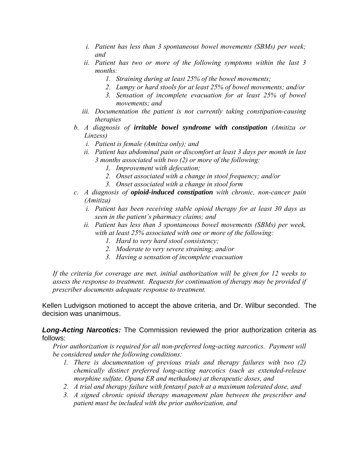- *i. Patient has less than 3 spontaneous bowel movements (SBMs) per week; and*
- *ii. Patient has two or more of the following symptoms within the last 3 months:* 
	- *1. Straining during at least 25% of the bowel movements;*
	- *2. Lumpy or hard stools for at least 25% of bowel movements; and/or*
	- *3. Sensation of incomplete evacuation for at least 25% of bowel movements; and*
- *iii. Documentation the patient is not currently taking constipation-causing therapies*
- *b. A diagnosis of irritable bowel syndrome with constipation (Amitiza or Linzess)* 
	- *i. Patient is female (Amitiza only); and*
	- *ii. Patient has abdominal pain or discomfort at least 3 days per month in last 3 months associated with two (2) or more of the following:* 
		- *1. Improvement with defecation;*
		- *2. Onset associated with a change in stool frequency; and/or*
		- *3. Onset associated with a change in stool form*
- *c. A diagnosis of opioid-induced constipation with chronic, non-cancer pain (Amitiza)* 
	- *i. Patient has been receiving stable opioid therapy for at least 30 days as seen in the patient's pharmacy claims; and*
	- *ii. Patient has less than 3 spontaneous bowel movements (SBMs) per week, with at least 25% associated with one or more of the following:* 
		- *1. Hard to very hard stool consistency;*
		- *2. Moderate to very severe straining; and/or*
		- *3. Having a sensation of incomplete evacuation*

*If the criteria for coverage are met, initial authorization will be given for 12 weeks to assess the response to treatment. Requests for continuation of therapy may be provided if prescriber documents adequate response to treatment.* 

Kellen Ludvigson motioned to accept the above criteria, and Dr. Wilbur seconded. The decision was unanimous.

*Long-Acting Narcotics:* The Commission reviewed the prior authorization criteria as follows:

*Prior authorization is required for all non-preferred long-acting narcotics. Payment will be considered under the following conditions:* 

- *1. There is documentation of previous trials and therapy failures with two (2) chemically distinct preferred long-acting narcotics (such as extended-release morphine sulfate, Opana ER and methadone) at therapeutic doses, and*
- *2. A trial and therapy failure with fentanyl patch at a maximum tolerated dose, and*
- *3. A signed chronic opioid therapy management plan between the prescriber and patient must be included with the prior authorization, and*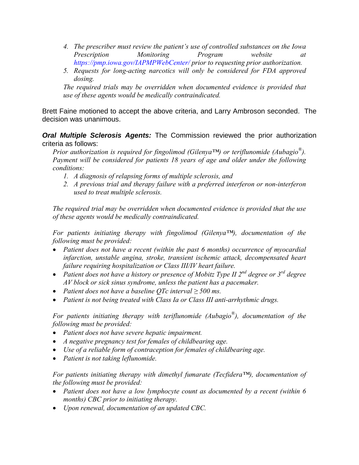- *4. The prescriber must review the patient's use of controlled substances on the Iowa Prescription Monitoring Program website at https://pmp.iowa.gov/IAPMPWebCenter/ prior to requesting prior authorization.*
- *5. Requests for long-acting narcotics will only be considered for FDA approved dosing.*

*The required trials may be overridden when documented evidence is provided that use of these agents would be medically contraindicated.* 

Brett Faine motioned to accept the above criteria, and Larry Ambroson seconded. The decision was unanimous.

*Oral Multiple Sclerosis Agents:* The Commission reviewed the prior authorization criteria as follows:

*Prior authorization is required for fingolimod (Gilenya™) or teriflunomide (Aubagio®). Payment will be considered for patients 18 years of age and older under the following conditions:* 

- *1. A diagnosis of relapsing forms of multiple sclerosis, and*
- *2. A previous trial and therapy failure with a preferred interferon or non-interferon used to treat multiple sclerosis.*

*The required trial may be overridden when documented evidence is provided that the use of these agents would be medically contraindicated.* 

*For patients initiating therapy with fingolimod (Gilenya™), documentation of the following must be provided:* 

- *Patient does not have a recent (within the past 6 months) occurrence of myocardial infarction, unstable angina, stroke, transient ischemic attack, decompensated heart failure requiring hospitalization or Class III/IV heart failure.*
- Patient does not have a history or presence of Mobitz Type II 2<sup>nd</sup> degree or 3<sup>rd</sup> degree *AV block or sick sinus syndrome, unless the patient has a pacemaker.*
- *Patient does not have a baseline QTc interval ≥ 500 ms.*
- *Patient is not being treated with Class Ia or Class III anti-arrhythmic drugs.*

*For patients initiating therapy with teriflunomide (Aubagio®), documentation of the following must be provided:* 

- *Patient does not have severe hepatic impairment.*
- *A negative pregnancy test for females of childbearing age.*
- *Use of a reliable form of contraception for females of childbearing age.*
- *Patient is not taking leflunomide.*

*For patients initiating therapy with dimethyl fumarate (Tecfidera™), documentation of the following must be provided:* 

- *Patient does not have a low lymphocyte count as documented by a recent (within 6 months) CBC prior to initiating therapy.*
- *Upon renewal, documentation of an updated CBC.*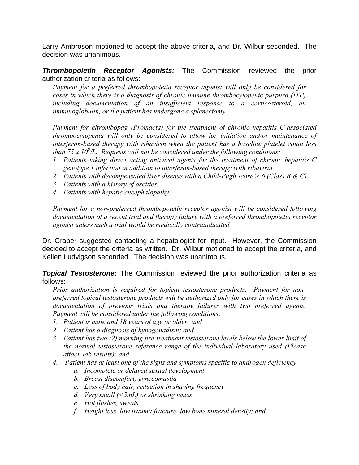Larry Ambroson motioned to accept the above criteria, and Dr. Wilbur seconded. The decision was unanimous.

*Thrombopoietin Receptor Agonists:* The Commission reviewed the prior authorization criteria as follows:

*Payment for a preferred thrombopoietin receptor agonist will only be considered for cases in which there is a diagnosis of chronic immune thrombocytopenic purpura (ITP) including documentation of an insufficient response to a corticosteroid, an immunoglobulin, or the patient has undergone a splenectomy.* 

*Payment for eltrombopag (Promacta) for the treatment of chronic hepatitis C-associated thrombocytopenia will only be considered to allow for initiation and/or maintenance of interferon-based therapy with ribavirin when the patient has a baseline platelet count less*  than  $75 \times 10^9$ /L. Requests will not be considered under the following conditions:

- *1. Patients taking direct acting antiviral agents for the treatment of chronic hepatitis C genotype 1 infection in addition to interferon-based therapy with ribavirin.*
- *2. Patients with decompensated liver disease with a Child-Pugh score > 6 (Class B & C).*
- *3. Patients with a history of ascities.*
- *4. Patients with hepatic encephalopathy.*

*Payment for a non-preferred thrombopoietin receptor agonist will be considered following documentation of a recent trial and therapy failure with a preferred thrombopoietin receptor agonist unless such a trial would be medically contraindicated.* 

Dr. Graber suggested contacting a hepatologist for input. However, the Commission decided to accept the criteria as written. Dr. Wilbur motioned to accept the criteria, and Kellen Ludvigson seconded. The decision was unanimous.

*Topical Testosterone:* The Commission reviewed the prior authorization criteria as follows:

*Prior authorization is required for topical testosterone products. Payment for nonpreferred topical testosterone products will be authorized only for cases in which there is documentation of previous trials and therapy failures with two preferred agents. Payment will be considered under the following conditions:* 

- *1. Patient is male and 18 years of age or older; and*
- *2. Patient has a diagnosis of hypogonadism; and*
- *3. Patient has two (2) morning pre-treatment testosterone levels below the lower limit of the normal testosterone reference range of the individual laboratory used (Please attach lab results); and*
- *4. Patient has at least one of the signs and symptoms specific to androgen deficiency* 
	- *a. Incomplete or delayed sexual development*
	- *b. Breast discomfort, gynecomastia*
	- *c. Loss of body hair, reduction in shaving frequency*
	- *d. Very small (<5mL) or shrinking testes*
	- *e. Hot flushes, sweats*
	- *f. Height loss, low trauma fracture, low bone mineral density; and*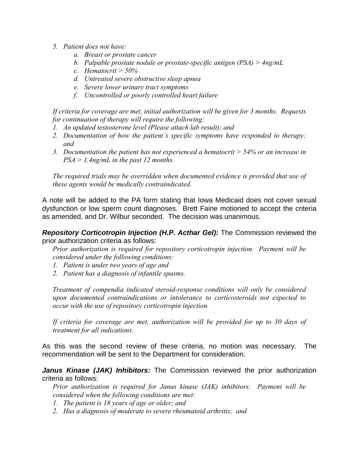- *5. Patient does not have:* 
	- *a. Breast or prostate cancer*
	- *b. Palpable prostate nodule or prostate-specific antigen (PSA) > 4ng/mL*
	- *c. Hematocrit > 50%*
	- *d. Untreated severe obstructive sleep apnea*
	- *e. Severe lower urinary tract symptoms*
	- *f. Uncontrolled or poorly controlled heart failure*

*If criteria for coverage are met, initial authorization will be given for 3 months. Requests for continuation of therapy will require the following:* 

- *1. An updated testosterone level (Please attach lab result); and*
- *2. Documentation of how the patient's specific symptoms have responded to therapy; and*
- *3. Documentation the patient has not experienced a hematocrit > 54% or an increase in PSA > 1.4ng/mL in the past 12 months.*

*The required trials may be overridden when documented evidence is provided that use of these agents would be medically contraindicated.* 

A note will be added to the PA form stating that Iowa Medicaid does not cover sexual dysfunction or low sperm count diagnoses. Brett Faine motioned to accept the criteria as amended, and Dr. Wilbur seconded. The decision was unanimous.

*Repository Corticotropin Injection (H.P. Acthar Gel):* The Commission reviewed the prior authorization criteria as follows:

*Prior authorization is required for repository corticotropin injection. Payment will be considered under the following conditions:* 

- *1. Patient is under two years of age and*
- *2. Patient has a diagnosis of infantile spasms.*

*Treatment of compendia indicated steroid-response conditions will only be considered upon documented contraindications or intolerance to corticosteroids not expected to occur with the use of repository corticotropin injection.* 

*If criteria for coverage are met, authorization will be provided for up to 30 days of treatment for all indications.* 

As this was the second review of these criteria, no motion was necessary. The recommendation will be sent to the Department for consideration.

*Janus Kinase (JAK) Inhibitors:* The Commission reviewed the prior authorization criteria as follows:

*Prior authorization is required for Janus kinase (JAK) inhibitors. Payment will be considered when the following conditions are met:* 

- *1. The patient is 18 years of age or older; and*
- *2. Has a diagnosis of moderate to severe rheumatoid arthritis; and*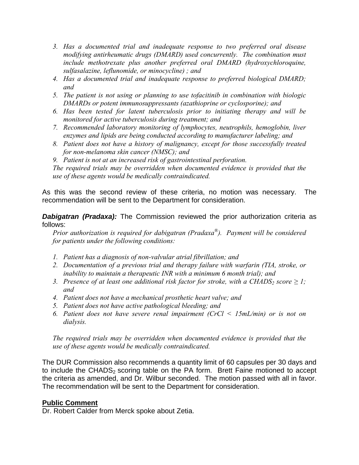- *3. Has a documented trial and inadequate response to two preferred oral disease modifying antirheumatic drugs (DMARD) used concurrently. The combination must include methotrexate plus another preferred oral DMARD (hydroxychloroquine, sulfasalazine, leflunomide, or minocycline) ; and*
- *4. Has a documented trial and inadequate response to preferred biological DMARD; and*
- *5. The patient is not using or planning to use tofacitinib in combination with biologic DMARDs or potent immunosuppressants (azathioprine or cyclosporine); and*
- *6. Has been tested for latent tuberculosis prior to initiating therapy and will be monitored for active tuberculosis during treatment; and*
- *7. Recommended laboratory monitoring of lymphocytes, neutrophils, hemoglobin, liver enzymes and lipids are being conducted according to manufacturer labeling; and*
- *8. Patient does not have a history of malignancy, except for those successfully treated for non-melanoma skin cancer (NMSC); and*
- *9. Patient is not at an increased risk of gastrointestinal perforation.*

*The required trials may be overridden when documented evidence is provided that the use of these agents would be medically contraindicated.*

As this was the second review of these criteria, no motion was necessary. The recommendation will be sent to the Department for consideration.

**Dabigatran (Pradaxa):** The Commission reviewed the prior authorization criteria as follows:

*Prior authorization is required for dabigatran (Pradaxa®). Payment will be considered for patients under the following conditions:* 

- *1. Patient has a diagnosis of non-valvular atrial fibrillation; and*
- *2. Documentation of a previous trial and therapy failure with warfarin (TIA, stroke, or inability to maintain a therapeutic INR with a minimum 6 month trial); and*
- *3. Presence of at least one additional risk factor for stroke, with a CHADS<sub>2</sub> score*  $\geq 1$ *; and*
- *4. Patient does not have a mechanical prosthetic heart valve; and*
- *5. Patient does not have active pathological bleeding; and*
- *6. Patient does not have severe renal impairment (CrCl < 15mL/min) or is not on dialysis.*

*The required trials may be overridden when documented evidence is provided that the use of these agents would be medically contraindicated.* 

The DUR Commission also recommends a quantity limit of 60 capsules per 30 days and to include the CHADS<sub>2</sub> scoring table on the PA form. Brett Faine motioned to accept the criteria as amended, and Dr. Wilbur seconded. The motion passed with all in favor. The recommendation will be sent to the Department for consideration.

## **Public Comment**

Dr. Robert Calder from Merck spoke about Zetia.